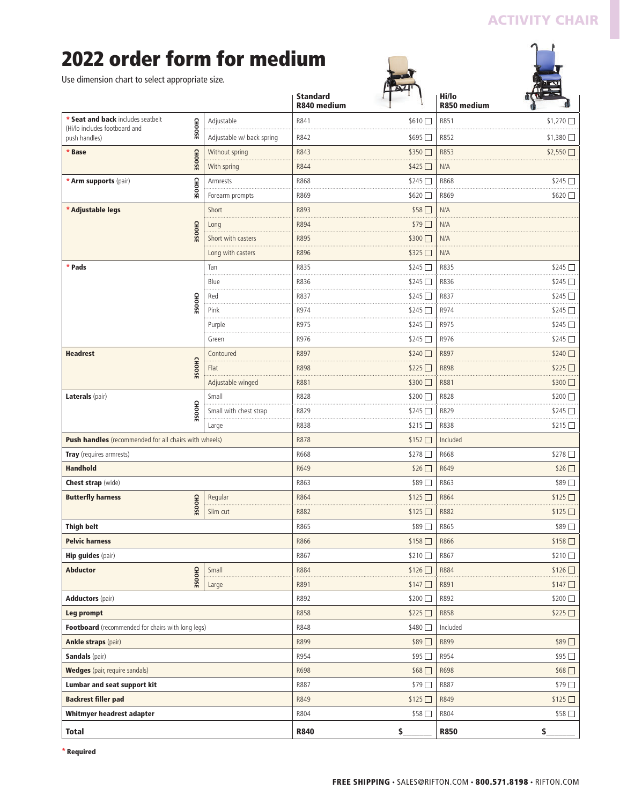# **ACTIVITY CHAIR**

 $\gamma$ 

# **2022 order form for medium**

| Use dimension chart to select appropriate size.                                                      |                           |                                |                  |                      |                  |
|------------------------------------------------------------------------------------------------------|---------------------------|--------------------------------|------------------|----------------------|------------------|
|                                                                                                      |                           | <b>Standard</b><br>R840 medium |                  | Hi/lo<br>R850 medium |                  |
| * Seat and back includes seatbelt<br><b>CHOOSE</b><br>(Hi/lo includes footboard and<br>push handles) | Adjustable                | R841                           | \$610            | R851                 | \$1,270          |
|                                                                                                      | Adjustable w/ back spring | R842                           | $$695$ $\square$ | R852                 | $$1,380$ $\Box$  |
| <b>CHOOSE</b><br>* Base                                                                              | Without spring            | R843                           | \$350            | R853                 | \$2,550          |
|                                                                                                      | With spring               | R844                           | $$425$ $\Box$    | N/A                  |                  |
| <b>CHOOSE</b><br>* Arm supports (pair)                                                               | Armrests                  | R868                           | \$245            | R868                 | $$245$ $\Box$    |
|                                                                                                      | Forearm prompts           | R869                           | \$620 □          | R869                 | \$620            |
| * Adjustable legs<br><b>CHOOSE</b>                                                                   | Short                     | R893                           | \$58             | N/A                  |                  |
|                                                                                                      | Long                      | R894                           | \$79□            | N/A                  |                  |
|                                                                                                      | Short with casters        | R895                           | \$300 □          | N/A                  |                  |
|                                                                                                      | Long with casters         | R896                           | \$325            | N/A                  |                  |
| * Pads                                                                                               | Tan                       | R835                           | \$245            | R835                 | $$245$ $\Box$    |
|                                                                                                      | Blue                      | R836                           | $$245$ $\Box$    | R836                 | \$245            |
|                                                                                                      | Red                       | R837                           | $$245$ $\square$ | R837                 | \$245            |
| <b>CHOOSE</b>                                                                                        | Pink                      | R974                           | \$245 □          | R974                 | $$245$ $\square$ |
|                                                                                                      | Purple                    | R975                           | \$245            | R975                 | \$245            |
|                                                                                                      | Green                     | R976                           | $$245$ $\square$ | R976                 | $$245$ $\Box$    |
| <b>Headrest</b>                                                                                      | Contoured                 | R897                           | \$240            | R897                 | \$240            |
| <b>CHOOSE</b>                                                                                        | Flat                      | <b>R898</b>                    | \$225            | R898                 | \$225            |
|                                                                                                      | Adjustable winged         | R881                           | $$300$ $\Box$    | R881                 | $$300$ $\Box$    |
| Laterals (pair)                                                                                      | Small                     | R828                           | \$200 □          | R828                 | \$200            |
| <b>CHOOSE</b>                                                                                        | Small with chest strap    | R829                           | \$245            | R829                 | \$245            |
|                                                                                                      | Large                     | R838                           | $$215$ $\Box$    | R838                 | $$215$ $\Box$    |
| <b>Push handles</b> (recommended for all chairs with wheels)                                         |                           | <b>R878</b>                    | \$152            | Included             |                  |
| Tray (requires armrests)                                                                             |                           | R668                           | \$278□           | R668                 | \$278□           |
| <b>Handhold</b>                                                                                      |                           | R649                           | \$26□            | R649                 | $$26$ $\Box$     |
| <b>Chest strap</b> (wide)                                                                            |                           | R863                           | \$89□            | R863                 | \$89□            |
| <b>Butterfly harness</b>                                                                             | Regular                   | R864                           | \$125            | R864                 | \$125            |
| CHOOSE                                                                                               | Slim cut                  | R882                           | \$125            | R882                 | \$125            |
| <b>Thigh belt</b>                                                                                    |                           | R865                           | \$89□            | R865                 | \$89□            |
| <b>Pelvic harness</b>                                                                                |                           | R866                           | \$158□           | R866                 | \$158            |
| <b>Hip guides</b> (pair)                                                                             |                           | R867                           | \$210            | R867                 | \$210            |
| <b>Abductor</b>                                                                                      | Small                     | R884                           | \$126□           | R884                 | \$126□           |
| <b>CHOOSE</b>                                                                                        | Large                     | R891                           | \$147            | R891                 | $$147$ $\Box$    |
| <b>Adductors</b> (pair)                                                                              |                           | R892                           | \$200            | R892                 | \$200 □          |
| Leg prompt                                                                                           |                           | R858                           | \$225            | R858                 | \$225□           |
| Footboard (recommended for chairs with long legs)                                                    |                           | R848                           | \$480            | Included             |                  |
| <b>Ankle straps (pair)</b>                                                                           |                           | R899                           | \$89□            | R899                 | \$89□            |
| <b>Sandals</b> (pair)                                                                                |                           | R954                           | \$95□            | R954                 | \$95□            |
| <b>Wedges</b> (pair, require sandals)                                                                |                           | R698                           | \$68□            | R698                 | $$68$ $\Box$     |
| Lumbar and seat support kit                                                                          |                           | R887                           | \$79□            | R887                 | \$79□            |
| <b>Backrest filler pad</b>                                                                           |                           | R849                           | \$125            | R849                 | \$125            |
| Whitmyer headrest adapter                                                                            |                           | R804                           | \$58□            | R804                 | $$58$ $\Box$     |
| <b>Total</b>                                                                                         |                           | <b>R840</b>                    | $\mathsf{S}_{-}$ | <b>R850</b>          | \$               |

 $\mathbb{C}$ 

**\* Required**